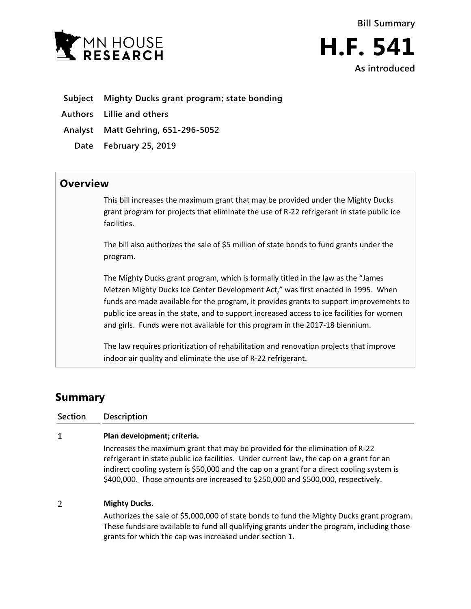

- **Subject Mighty Ducks grant program; state bonding**
- **Authors Lillie and others**
- **Analyst Matt Gehring, 651-296-5052**
	- **Date February 25, 2019**

## **Overview**

This bill increases the maximum grant that may be provided under the Mighty Ducks grant program for projects that eliminate the use of R-22 refrigerant in state public ice facilities.

The bill also authorizes the sale of \$5 million of state bonds to fund grants under the program.

The Mighty Ducks grant program, which is formally titled in the law as the "James Metzen Mighty Ducks Ice Center Development Act," was first enacted in 1995. When funds are made available for the program, it provides grants to support improvements to public ice areas in the state, and to support increased access to ice facilities for women and girls. Funds were not available for this program in the 2017-18 biennium.

The law requires prioritization of rehabilitation and renovation projects that improve indoor air quality and eliminate the use of R-22 refrigerant.

## **Summary**

**Section Description**  $\mathbf{1}$ **Plan development; criteria.** Increases the maximum grant that may be provided for the elimination of R-22 refrigerant in state public ice facilities. Under current law, the cap on a grant for an indirect cooling system is \$50,000 and the cap on a grant for a direct cooling system is \$400,000. Those amounts are increased to \$250,000 and \$500,000, respectively.  $\overline{2}$ **Mighty Ducks.** Authorizes the sale of \$5,000,000 of state bonds to fund the Mighty Ducks grant program.

These funds are available to fund all qualifying grants under the program, including those grants for which the cap was increased under section 1.